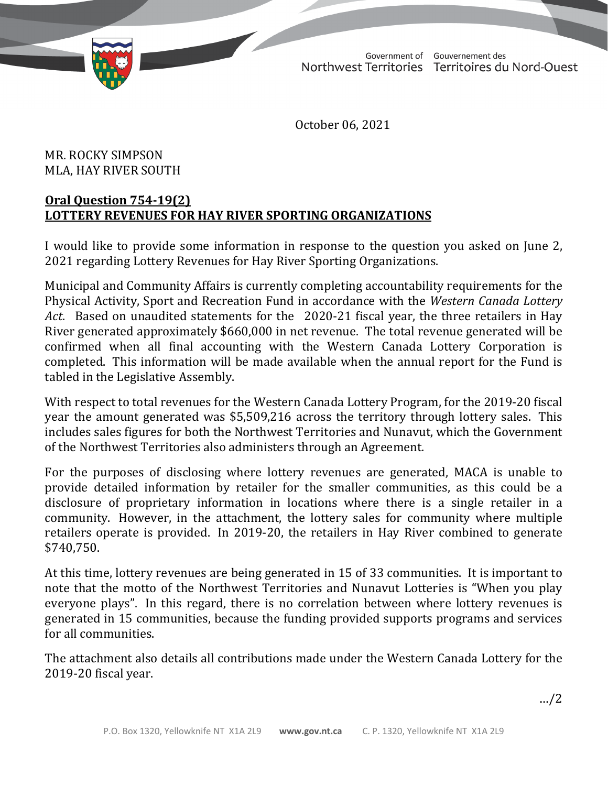TD 463-19(2) TABLED ON NOVEMBER 22, 2021

Government of Gouvernement des Northwest Territories Territoires du Nord-Ouest

October 06, 2021

## MR. ROCKY SIMPSON MLA, HAY RIVER SOUTH

## **Oral Question 754-19(2) LOTTERY REVENUES FOR HAY RIVER SPORTING ORGANIZATIONS**

I would like to provide some information in response to the question you asked on June 2, 2021 regarding Lottery Revenues for Hay River Sporting Organizations.

Municipal and Community Affairs is currently completing accountability requirements for the Physical Activity, Sport and Recreation Fund in accordance with the *Western Canada Lottery Act*. Based on unaudited statements for the 2020-21 fiscal year, the three retailers in Hay River generated approximately \$660,000 in net revenue. The total revenue generated will be confirmed when all final accounting with the Western Canada Lottery Corporation is completed. This information will be made available when the annual report for the Fund is tabled in the Legislative Assembly.

With respect to total revenues for the Western Canada Lottery Program, for the 2019-20 fiscal year the amount generated was \$5,509,216 across the territory through lottery sales. This includes sales figures for both the Northwest Territories and Nunavut, which the Government of the Northwest Territories also administers through an Agreement.

For the purposes of disclosing where lottery revenues are generated, MACA is unable to provide detailed information by retailer for the smaller communities, as this could be a disclosure of proprietary information in locations where there is a single retailer in a community. However, in the attachment, the lottery sales for community where multiple retailers operate is provided. In 2019-20, the retailers in Hay River combined to generate \$740,750.

At this time, lottery revenues are being generated in 15 of 33 communities. It is important to note that the motto of the Northwest Territories and Nunavut Lotteries is "When you play everyone plays". In this regard, there is no correlation between where lottery revenues is generated in 15 communities, because the funding provided supports programs and services for all communities.

The attachment also details all contributions made under the Western Canada Lottery for the 2019-20 fiscal year.

…/2